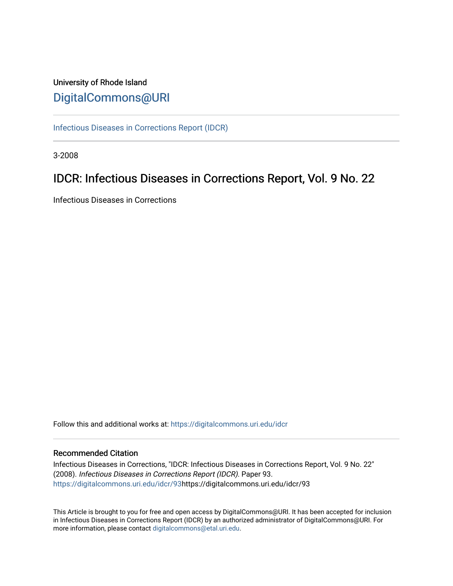# University of Rhode Island [DigitalCommons@URI](https://digitalcommons.uri.edu/)

[Infectious Diseases in Corrections Report \(IDCR\)](https://digitalcommons.uri.edu/idcr)

3-2008

# IDCR: Infectious Diseases in Corrections Report, Vol. 9 No. 22

Infectious Diseases in Corrections

Follow this and additional works at: [https://digitalcommons.uri.edu/idcr](https://digitalcommons.uri.edu/idcr?utm_source=digitalcommons.uri.edu%2Fidcr%2F93&utm_medium=PDF&utm_campaign=PDFCoverPages)

### Recommended Citation

Infectious Diseases in Corrections, "IDCR: Infectious Diseases in Corrections Report, Vol. 9 No. 22" (2008). Infectious Diseases in Corrections Report (IDCR). Paper 93. [https://digitalcommons.uri.edu/idcr/93h](https://digitalcommons.uri.edu/idcr/93?utm_source=digitalcommons.uri.edu%2Fidcr%2F93&utm_medium=PDF&utm_campaign=PDFCoverPages)ttps://digitalcommons.uri.edu/idcr/93

This Article is brought to you for free and open access by DigitalCommons@URI. It has been accepted for inclusion in Infectious Diseases in Corrections Report (IDCR) by an authorized administrator of DigitalCommons@URI. For more information, please contact [digitalcommons@etal.uri.edu.](mailto:digitalcommons@etal.uri.edu)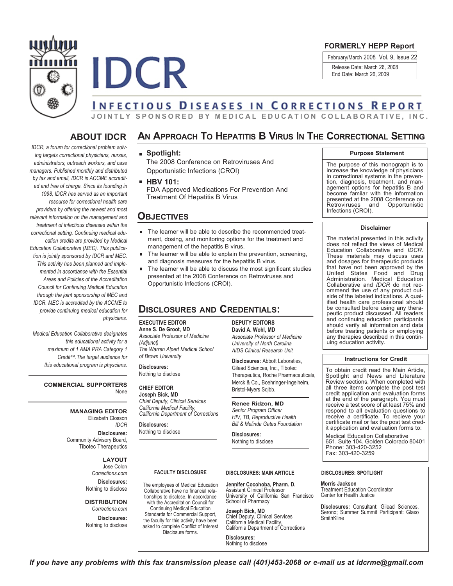



### **FORMERLY HEPP Report**

February/March 2008 Vol. 9, Issue 22 Release Date: March 26, 2008 End Date: March 26, 2009

# **INFECTIOUS DISEASES IN CORRECTIONS REPORT**

JOINTLY SPONSORED BY MEDICAL EDUCATION COLLABORATIVE, INC.

### **ABOUT IDCR**

*IDCR, a forum for correctional problem solving targets correctional physicians, nurses, administrators, outreach workers, and case managers. Published monthly and distributed by fax and email, IDCR is ACCME accredited and free of charge. Since its founding in 1998, IDCR has served as an important resource for correctional health care providers by offering the newest and most relevant information on the management and treatment of infectious diseases within the correctional setting. Continuing medical education credits are provided by Medical Education Collaborative (MEC). This publication is jointly sponsored by IDCR and MEC. This activity has been planned and implemented in accordance with the Essential Areas and Policies of the Accreditation Council for Continuing Medical Education through the joint sponsorship of MEC and IDCR. MEC is accredited by the ACCME to provide continuing medical education for physicians.*

*Medical Education Collaborative designates this educational activity for a maximum of 1 AMA PRA Category 1 Credit™.The target audience for this educational program is physcians.*

#### **COMMERCIAL SUPPORTERS** None

**MANAGING EDITOR** Elizabeth Closson *IDCR*

**Disclosures:** Community Advisory Board, Tibotec Therapeutics

#### **LAYOUT**

Jose Colon *Corrections.com*

**Disclosures:** Nothing to disclose

**DISTRIBUTION** *Corrections.com*

**Disclosures:** Nothing to disclose

## **AN APPROACH TO HEPATITIS B VIRUS IN THE CORRECTIONAL SETTING**

### **Spotlight:**

The 2008 Conference on Retroviruses And Opportunistic Infections (CROI)

**HBV 101:**

FDA Approved Medications For Prevention And Treatment Of Hepatitis B Virus

### **OBJECTIVES**

- The learner will be able to describe the recommended treatment, dosing, and monitoring options for the treatment and management of the hepatitis B virus.
- The learner will be able to explain the prevention, screening, and diagnosis measures for the hepatitis B virus.
- The learner will be able to discuss the most significant studies presented at the 2008 Conference on Retroviruses and Opportunistic Infections (CROI).

### **DISCLOSURES AND CREDENTIALS:**

#### **EXECUTIVE EDITOR**

**Anne S. De Groot, MD** *Associate Professor of Medicine (Adjunct) The Warren Alpert Medical School of Brown University*

**Disclosures:** Nothing to disclose

### **CHIEF EDITOR**

**Joseph Bick, MD** *Chief Deputy, Clinical Services California Medical Facility, California Department of Corrections*

**Disclosures:** Nothing to disclose

**DEPUTY EDITORS David A. Wohl, MD**

*Associate Professor of Medicine University of North Carolina AIDS Clinical Research Unit*

**Disclosures:** Abbott Laboraties, Gilead Sciences, Inc., Tibotec Therapeutics, Roche Pharmaceuticals, Merck & Co., Boehringer-Ingelheim, Bristol-Myers Sqibb.

#### **Renee Ridzon, MD** *Senior Program Officer HIV, TB, Reproductive Health Bill & Melinda Gates Foundation*

**Disclosures:**

Nothing to disclose

#### **Purpose Statement**

The purpose of this monograph is to increase the knowledge of physicians in correctional systems in the prevention, diagnosis, treatment, and management options for hepatitis B and become familar with the information presented at the <sup>2008</sup> Conference on Retroviruses and Opportunistic Infections (CROI).

#### **Disclaimer**

The material presented in this activity does not reflect the views of Medical Education Collaborative and *IDCR*. These materials may discuss uses<br>and dosages for therapeutic products that have not been approved by the<br>United States Food and Drug United States Food and Drug Administration. Medical Education Collaborative and *IDCR* do not recside of the labeled indications. A qualified health care professional should be consulted before using any thera-<br>peutic product discussed. All readers and continuing education participants should verify all information and data before treating patients or employing any therapies described in this continuing education activity.

#### **Instructions for Credit**

To obtain credit read the Main Article, Spotlight and News and Literature Review sections. When completed with all three items complete the post test<br>credit application and evaluation forms credit application and evaluation forms at the end of the paragraph. You must receive a test score of at least 75% and respond to all evaluation questions to receive a certificate. To recieve your certificate mail or fax the post test cred- it application and evaluation forms to:

Medical Education Collaborative 651, Suite 104, Golden Colorado 80401 Phone: 303-420-3252 Fax: 303-420-3259

#### **FACULTY DISCLOSURE**

The employees of Medical Education Collaborative have no financial relationships to disclose. In accordance with the Accreditation Council for Continuing Medical Education Standards for Commercial Support, the faculty for this activity have been asked to complete Conflict of Interest Disclosure forms.

**DISCLOSURES: MAIN ARTICLE DISCLOSURES: SPOTLIGHT**

**Jennifer Cocohoba, Pharm. D.** Assistant Clinical Professor University of California San Francisco School of Pharmacy

**Joseph Bick, MD** Chief Deputy, Clinical Services California Medical Facility, California Department of Corrections

**Disclosures:** Nothing to disclose

**Morris Jackson** Treatment Education Coordinator Center for Health Justice

**Disclosures:** Consultant: Gilead Sciences, Serono; Summer Summit Participant: Glaxo SmithKline

If you have any problems with this fax transmission please call (401)453-2068 or e-mail us at idcrme@gmail.com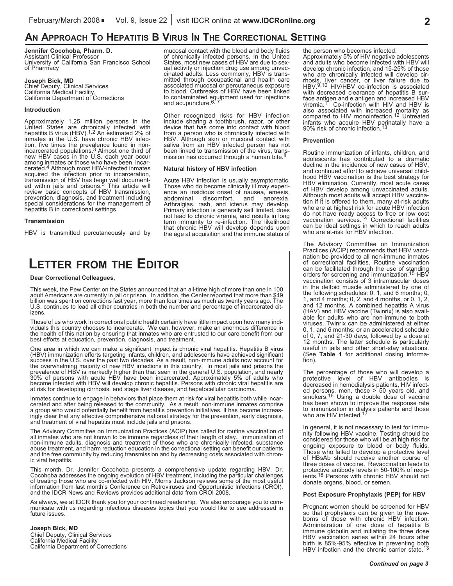## **AN APPROACH TO HEPATITIS B VIRUS IN THE CORRECTIONAL SETTING**

**Jennifer Cocohoba, Pharm. D.** Assistant Clinical Professor University of California San Francisco School of Pharmacy

**Joseph Bick, MD**<br>Chief Deputy, Clinical Services<br>California Medical Facility,<br>California Department of Corrections

#### **Introduction**

Approximately 1.25 million persons in the<br>United States are chronically infected with<br>hepatitis B virus (HBV).<sup>1,2</sup> An estimated 2% of inmates in the U.S. have chronic HBV infec-<br>tion, five times the prevalence found in non-<br>incarcerated populations.<sup>3</sup> Almost one third of incarcerated populations.<sup>3</sup> Almost one third of<br>new HBV cases in the U.S. each year occur<br>among inmates or those who have been incar-<br>cerated.<sup>4</sup> Although most HBV-infected inmates cerated.<sup>4</sup> Although most HBV-infected inmates acquired the infection prior to incarceration, transmission of HBV has been well document-<br>ed within jails and prisons.<sup>5</sup> This article will For the distribution of the material review basic concepts of HBV transmission, prevention, diagnosis, and treatment including special considerations for the management of hepatitis B in correctional settings.

#### **Transmission**

HBV is transmitted percutaneously and by

mucosal contact with the blood and body fluids of chronically infected persons. In the United ual activity or injection drug use among unvaccinated adults. Less commonly, HBV is transmitted through occupational and health care<br>associated mucosal or percutaneous exposure<br>to blood. Outbreaks of HBV have been linked to contaminated equipment used for injections<br>and acupuncture.<sup>6, 7</sup>

Other recognized risks for HBV infection include sharing <sup>a</sup> toothbrush, razor, or other device that has come into contact with blood from a person who is chronically infected with HBV. Although skin or mucosal contact with<br>saliva from an HBV infected person has not been linked to transmission of the virus, trans-<br>mission has occurred through a human bite.<sup>8</sup> mission has occurred through a human bite.<sup>8</sup>

#### **Natural history of HBV infection**

Acute HBV infection is usually asymptomatic.<br>Those who do become clinically ill may experience an insidious onset of nausea, emesis, abdominal discomfort, and anorexia.<br>Arthralgias, rash, and icterus may develop.<br>Primary i term immunity to re-infection. The likelihood that chronic HBV will develop depends upon the age at acquisition and the immune status of

# **LETTER FROM THE EDITOR**

#### **Dear Correctional Colleagues,**

This week, the Pew Center on the States announced that an all-time high of more than one in 100 adult Americans are currently in jail or prison. In addition, the Center reported that more than \$49 billion was spent on corr U.S. continues to lead all other countries in both the number and percentage of incarcerated cit-<br>izens.

Those of us who work in correctional public health certainly have little impact upon how many individuals this country chooses to incarcerate. We can, however, make an enormous difference in the health of this nation by en

One area in which we can make a significant impact is chronic viral hepatitis. Hepatitis B virus<br>(HBV) immunization efforts targeting infants, children, and adolescents have achieved significant<br>success in the U.S. over th 30% of persons with acute HBV have been incarcerated. Approximately 5% of adults who<br>become infected with HBV will develop chronic hepatitis. Persons with chronic viral hepatitis are<br>at risk for developing cirrhosis, end s

Inmates continue to engage in behaviors that place them at risk for viral hepatitis both while incar-<br>cerated and after being released to the community. As a result, non-immune inmates comprise<br>a group who would potentiall

The Advisory Committee on Immunization Practices (ACIP) has called for routine vaccination of all inmates who are not known to be immune regardless of their length of stay. Immunization of non-immune adults, diagnosis and

This month, Dr. Jennifer Cocohoba presents a comprehensive update regarding HBV. Dr. Cocohoba addresses the ongoing evolution of HBV treatment, including the particular challenges information from last month's Conference on Retroviruses and Opportunistic Infections (CROI), and the IDCR News and Reviews provides additional data from CROI 2008.

As always, we at IDCR thank you for your continued readership. We also encourage you to com-<br>municate with us regarding infectious diseases topics that you would like to see addressed in<br>future issues.

### **Joseph Bick, MD** Chief Deputy, Clinical Services California Medical Facility California Department of Corrections

the person who becomes infected.<br>Approximately 5% of HIV negative adolescents<br>and adults who become infected with HBV will<br>develop chronic infection, and 15-25% of those who are chronically infected will develop cir-<br>thosis, liver cancer, or liver failure due to<br>HBV.<sup>9,10</sup> HIV/HBV co-infection is associated<br>with decreased clearance of hepatitis B surface antigen and e antigen and increased HBV viremia.<sup>11</sup> Co-infection with HIV and HBV is viremia.<sup>11</sup> Co-infection with HIV and HBV is<br>also associated with increased mortality as<br>compared to HIV monoinfection.<sup>12</sup> Untreated infants who acquire HBV perinatally have a<br>90% risk of chronic infection.<sup>13</sup>

#### **Prevention**

Routine immunization of infants, children, and<br>adolescents has contributed to a dramatic decline in the incidence of new cases of HBV, and continued effort to achieve universal childhood HBV vaccination is the best strategy for HBV elimination. Currently, most acute cases of HBV develop among unvaccinated adults. Although most adults will accept HBV vaccination if it is offered to them, many at-risk adults who are at highest risk for acute HBV infection do not have ready access to free or low cost vaccination services. 14 Correctional facilities can be ideal settings in which to reach adults who are at-risk for HBV infection.

The Advisory Committee on Immunization Practices (ACIP) recommends that HBV vaccination be provided to all non-immune inmates of correctional facilities. Routine vaccination can be facilitated through the use of standing orders for screening and immunization.<sup>15</sup> HBV vaccination consists of 3 intramuscular doses in the deltoid muscle administered by one of the following schedules: 0, 1, and 6 months; 0, 1, and 4 months; 0, 2, and 4 months, or 0, 1, 2, and 12 months. A combined hepatitis A virus (HAV) and HBV vaccine (Twinrix) is also available for adults who are non-immune to both viruses. Twinrix can be administered at either 0, 1, and 6 months; or an accelerated schedule of 0, 7, and 21-30 days, followed by a dose at 12 months. The latter schedule is particularly useful in jails and other short-stay situations. (See **Table 1** for additional dosing information).

The percentage of those who will develop a protective level of HBV antibodies is decreased in hemodialysis patients, HIV infected persons, men, those > 50 years old, and smokers. smokers.<sup>16</sup> Using a double dose of vaccine has been shown to improve the response rate to immunization in dialysis patients and those who are HIV infected.<sup>17</sup>

In general, it is not necessary to test for immu-<br>nity following HBV vaccine. Testing should be<br>considered for those who will be at high risk for<br>ongoing exposure to blood or body fluids.<br>Those who failed to develop a prot three doses of vaccine. Revaccination leads to<br>protective antibody levels in 50-100% of recip-<br>ients.<sup>18</sup> Persons with chronic HBV should not donate organs, blood, or semen.

#### **Post Exposure Prophylaxis (PEP) for HBV**

Pregnant women should be screened for HBV so that prophylaxis can be given to the newborns of those with chronic HBV infection. Administration of one dose of hepatitis B immune globulin and initiating the three dose HBV vaccination series within 24 hours after birth is 85%-95% effective in preventing both HBV infection and the chronic carrier state.<sup>13</sup>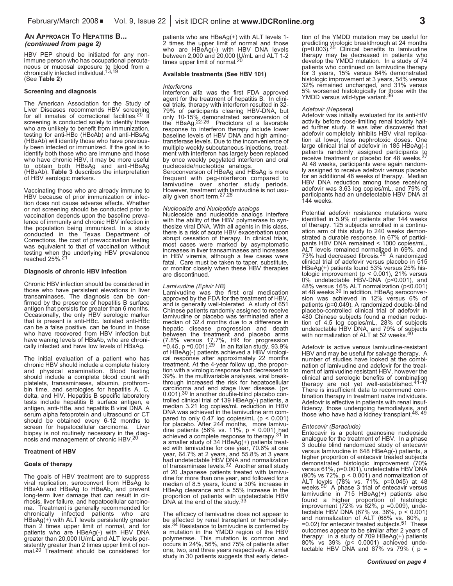#### **AN APPROACH TO HEPATITIS B...** *(continued from page 2)*

HBV PEP should be initiated for any nonimmune person who has occupational percutaneous or mucosal exposure to blood from a chronically infected individual. 13,19 (See **Table 2**)

#### **Screening and diagnosis**

The American Association for the Study of Liver Diseases recommends HBV screening for all inmates of correctional facilities.<sup>20</sup> If screening is conducted solely to identify those who are unlikely to benefit from immunization, testing for anti-HBc (HBcAb) and anti-HBsAg (HBsAb) will identify those who have previously been infected or immunized. If the goal is to identify both those who are immune and those who have chronic HBV, it may be more useful to obtain both HBsAg and anti-HBsAg (HBsAb). **Table 3** describes the interpretation of HBV serologic markers.

Vaccinating those who are already immune to HBV because of prior immunization or infection does not cause adverse effects. Whether or not screening should be conducted prior to vaccination depends upon the baseline prevalence of immunity and chronic HBV infection in the population being immunized. In a study conducted in the Texas Department of Corrections, the cost of prevaccination testing was equivalent to that of vaccination without testing when the underlying HBV prevalence reached 25%. 21

#### **Diagnosis of chronic HBV infection**

Chronic HBV infection should be considered in those who have persistent elevations in liver transaminases. The diagnosis can be confirmed by the presence of hepatitis B surface antigen that persists for greater than 6 months. Occasionally, the only HBV serologic marker that is present is anti-HBc. Isolated anti-HBc can be a false positive, can be found in those who have recovered from HBV infection but have waning levels of HBsAb, who are chronically infected and have low levels of HBsAg.

The initial evaluation of a patient who has chronic HBV should include a complete history and physical examination. Blood testing should include a complete blood count with platelets, transaminases, albumin, prothrombin time, and serologies for hepatitis A, C, delta, and HIV. Hepatitis B specific laboratory tests include hepatitis B surface antigen, e antigen, anti-HBe, and hepatitis B viral DNA. A serum alpha fetoprotein and ultrasound or CT should be obtained every 6-12 months to screen for hepatocellular carcinoma. Liver biopsy is not routinely necessary in the diagnosis and management of chronic HBV. 20

#### **Treatment of HBV**

#### **Goals of therapy**

The goals of HBV treatment are to suppress viral replication, seroconvert from HBsAg to HBsAb and HBeAg to HBeAb, and prevent long-term liver damage that can result in cirrhosis, liver failure, and hepatocellular carcinoma. Treatment is generally recommended for chronically infected patients who are HBeAg(+) with ALT levels persistently greater than 2 times upper limit of normal, and for patients who are HBeAg(-) with HBV DNA greater than 20,000 IU/mL and ALT levels persistently greater than 2 times upper limit of normal.<sup>20</sup> Treatment should be considered for

patients who are HBeAg(+) with ALT levels 1- 2 times the upper limit of normal and those who are HBeAg(-) with HBV DNA levels between 2,000 and 20,000 IU/mL and ALT 1-2 times upper limit of normal. 20

#### **Available treatments (See HBV 101)**

#### *Interferons*

Interferon alfa was the first FDA approved agent for the treatment of hepatitis B. In clinical trials, therapy with interferon resulted in 32- 79% of participants clearing HBV-DNA, but only 10-15% demonstrated seroreversion of the HBsAg.<sup>22-26</sup> Predictors of a favorable response to interferon therapy include lower baseline levels of HBV DNA and high aminotransferase levels. Due to the inconvenience of multiple weekly subcutaneous injections, treatment with interferon has largely been replaced by once weekly pegylated interferon and oral nucleoside/nucleotide analogs.

Seroconversion of HBeAg and HBsAg is more frequent with peg-interferon compared to lamivudine over shorter study periods. However, treatment with lamivudine is not usu-<br>ally given short term.<sup>27,28</sup>

Nucleoside and Nucleotide analogs<br>Nucleoside and nucleotide analogs<br>interfere<br>with the ability of the HBV polymerase to syn-<br>thesize viral DNA. With all agents in this class,<br>there is a risk of acute HBV exacerbation upon<br>

*Lamivudine (Epivir HB)* approved by the FDA for the treatment of HBV,<br>and is generally well-tolerated A study of 651<br>Chinese patients randomly assigned to receive lamivudine or placebo was terminated after a median of 32.4 months due to a difference in hepatic disease progression and death between the treatment and placebo arms between the treatment and placebo arms (7.8% versus 17.7%, HR for progression =0.45, p =0.001).<sup>29</sup> In an Italian study, 93.9% of HBeAg(-) patients achieved a HBV virologi-=0.45, p =0.001).<sup>29</sup> In an Italian study, 93.9%<br>of HBeAg(-) patients achieved a HBV virological response after approximately 22 months<br>treatment. At the 4-year follow up, the propor-<br>tion with a virologic response had de 0.001).<sup>30</sup> In another double-blind placebo con-<br>trolled clinical trial of 139 HBeAg(-) patients, a<br>median 3.21 log copies/mL reduction in HBV DNA was achieved in the lamivudine arm com-<br>pared to only 0.47 log copies/mL ( $p < 0.001$ )<br>for placebo. After 244 months, more lamivufor placebor.  $(56\% \text{ vs. } 11\%$ , p < 0.001) had achieved a complete response to therapy.<sup>31</sup> ln achieved a complete response to therapy.<sup>31</sup> In a smaller study of 34 HBeAg(+) patients treat-<br>ed with lamivudine for one year, 70.6% at one<br>year, 64.7% at 2 years, and 55.8% at 3 years<br>had undetectable HBV DNA and normali of transaminase levels.<sup>32</sup> Another small study<br>of 20 Japanese patients treated with lamivu-<br>dine for more than one year, and followed for a<br>median of 8.5 years, found a 30% increase in<br>HBeAg clearance and a 55% increase i DNA at the end of the study.<sup>33</sup>

The efficacy of lamivudine does not appear to be affected by renal transplant or hemodialy-<br>sis.<sup>34</sup> Resistance to lamivudine is conferred by a mutation in the YMDD region of the HBV polymerase. This mutation is common and occurs in 24%, 56%, and 75% of patients after one, two, and three years respectively. A small study in 30 patients suggests that early detection of the YMDD mutation may be useful for predicting virologic breakthrough at 24 months ( $p=0.003$ ).<sup>35</sup> Clinical benefits to lamivudine <sup>35</sup> Clinical benefits to lamivudine therapy may be decreased in patients who develop the YMDD mutation. In <sup>a</sup> study of <sup>74</sup> patients who continued on lamivudine therapy for 3 years, 15% versus 64% demonstrated<br>histologic improvement at 3 years, 54% versus histologic improvement at 3 years, 54% versus<br>32% remained unchanged, and 31% versus<br>5% worsened histologically for those with the<br>YMDD versus wild-type variant.<sup>36</sup>

#### *Adefovir (Hepsera)*

Adefovir was initially evaluated for its anti-HIV activity before dose-limiting renal toxicity halted further study. It was later discovered that adefovir completely inhibits HBV viral replication at lower, less nephrotoxic doses. One large clinical trial of adefovir in 185 HBeAg(-) patients randomly assigned participants to receive treatment or placebo for 48 weeks.<sup>37</sup> At 48 weeks, participants were again randomly assigned to receive adefovir versus placebo for an additional 48 weeks of therapy. Median HBV DNA reduction among those receiving adefovir was 3.63 log copies/mL, and 79% of participants had an undetectable HBV DNA at 144 weeks.

Potential adefovir resistance mutations were identified in 5.9% of patients after 144 weeks of therapy. 125 subjects enrolled in a continuation arm of this study to 240 weeks demon-<br>strated a durable response. In 67% of partici-<br>pants HBV DNA remained < 1000 copies/mL,<br>ALT levels remained normalized in 69%, and 73% had decreased fibrosis. <sup>38</sup> <sup>A</sup> randomized clinical trial of adefovir versus placebo in <sup>515</sup> HBeAg(+) patients found 53% versus 25% his- tologic improvement (p <sup>&</sup>lt; 0.001), 21% versus 0% undetectable HBV-DNA (p<0.001), and 48% versus 16% ALT normalization (p<0.001)<br>at 48 weeks.<sup>39</sup> In addition, HBeAg seroconver-<br>sion was achieved in 12% versus 6% of patients (p=0.049). A randomized double-blind placebo-controlled clinical trial of adefovir in 480 Chinese subjects found a median reduc-<br>tion of 4.5 log copies/mL, 28% of subjects<br>undetectable HBV DNA, and 79% of subjects<br>with normalization of ALT at 52 weeks.<sup>40</sup>

Adefovir is active versus lamivudine-resistant HBV and may be useful for salvage therapy. A number of studies have looked at the combination of lamivudine and adefovir for the treatment of lamivudine resistant HBV, however the clinical and serologic benefits of combination therapy are not yet well-established.41-47 There is insufficient data to recommend com-<br>bination therapy in treatment naive individuals.<br>Adefovir is effective in patients with renal insufficiency, those undergoing hemodialysis, and those who have had a kidney transplant.<sup>48, 49</sup>

#### *Entecavir (Baraclude)*

Entecavir is a potent guanosine nucleoside analogue for the treatment of HBV. In a phase 3 double blind randomized study of entecavir versus lamivudine in 648 HBeAg(-) patients, a higher proportion of entecavir treated subjects demonstrated histologic improvement (70% versus 61%, p=0.001), undetectable HBV DNA (90% vs 72%, p < 0.001) and normalization of ALT levels (78% vs. 71%, p=0.045) at 48 weeks.<sup>50</sup> A phase 3 trial of entecavir versus lamivudine in 715 HBeAg(+) patients also<br>found a higher proportion of histologic<br>improvement (72% vs 62%, p =0.009), unde-<br>tectable HBV DNA (67% vs. 36%, p < 0.001)<br>and normalization of ALT (68% vs. 60%, p<br>=0.02) for ente =0.02) for entecavir treated subjects.<sup>51</sup> These<br>outcomes appear to be similar after 2 years of therapy: in a study of 709 HBeAg(+) patients 80% vs 39% (p< 0.0001) achieved undetectable HBV DNA and 87% vs 79% ( $p =$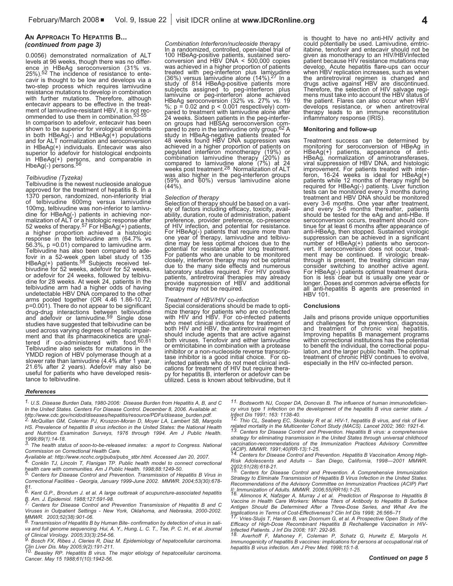#### **AN APPROACH TO HEPATITIS B...** *(continued from page 3)*

0.0056) demonstrated normalization of ALT levels at 96 weeks, though there was no difference in HBeAg seroconversion (31% vs. 25%). 52 The incidence of resistance to entecavir is thought to be low and develops via a two-step process which requires lamivudine resistance mutations to develop in combination with further mutations. Therefore, although entecavir appears to be effective in the treatment of lamivudine-resistant HBV, it is not recommended to use them in combination. 53-55 In comparison to adefovir, entecavir has been shown to be superior for virological endpoints in both HBeAg(-) and HBeAg(+) populations and for ALT normalization and seroconversion in HBeAg(+) individuals. Entecavir was also superior to adefovir for histological endpoints in HBeAg(+) persons, and comparable in HbeAg(-) persons. 56

#### *Telbivudine (Tyzeka)*

Telbivudine is the newest nucleoside analogue approved for the treatment of hepatitis B. In a 1370 person, randomized, non-inferiority trial of telbivudine 600mg versus lamivudine 100mg, telbivudine was non-inferior to lamivudine for HBeAg(-) patients in achieving normalization of ALT or a histologic response after 52 weeks of therapy.<sup>57</sup> For HBeAg(+) patients, a higher proportion achieved a histologic response in the telbivudine arm (64.7% vs 56.3%, p =0.01) compared to lamivudine arm. Telbivudine has also been compared to adefovir in a 52-week open label study of 135 HBeAg(+) patients.<sup>58</sup> Subjects received telbivudine for 52 weeks, adefovir for 52 weeks, or adefovir for 24 weeks, followed by telbivudine for 28 weeks. At week 24, patients in the telbivudine arm had a higher odds of having undetectable HBV DNA compared to the other arms pooled together (OR 4.46 1.86-10.72, p=0.001). There do not appear to be significant drug-drug interactions between telbivudine and adefovir or lamivudine. studies have suggested that telbivudine can be used across varying degrees of hepatic impair-<br>ment and that its pharmacokinetics are unal-<br>tered if co-administered with food. $60,61$ Telbivudine also selects for mutations in the YMDD region of HBV polymerase though at a slower rate than lamivudine (4.4% after 1 year, 21.6% after 2 years). Adefovir may also be useful for patients who have developed resistance to telbivudine.

*Combination Interferon/nucleoside therapy* In a randomized, controlled, open-label trial of Exportision and HBV DNA version and HBV DNA was achieved in a higher proportion of patients treated with peg-interferon plus lamivudine (36%) versus lamivudine alone (14%).<sup>27</sup> In a <sup>27</sup> In <sup>a</sup> study of <sup>814</sup> HBeAg-positive patients more subjects assigned to peg-interferon plus lamivuine or peg-interferon alone achieved HBeAg seroconversion (32% vs. 27% vs. 19<br>%;  $p = 0.02$  and  $p < 0.001$  respectively) com-<br>pared to treatment with lamivudine alone after<br>24 weeks. Sixteen patients in the peg-interfer-<br>on groups had HBSAg seroconversion com 24 weeks. Sixteen pairing in the peer-interior-<br>on groups had HBSAg serconversion com-<br>pared to zero in the lamivudine only group.<sup>62</sup> A<br>study in HBeAg-negative patients treated for<br>48 weeks found HBV DNA suppression was<br>a was also higher in the peg-interferon groups (59% and 60%) versus lamivudine alone (44%).

*Selection* of *therapy* should be based on a vari-<br>ety of factors including efficacy, toxicity, avail-<br>ability, duration, route of administration, patient<br>perference, co-presence<br>of HIV infection, and potential for resist or The Haddel patients that point and the sisteme.<br>For HBeAg(-) patients that require more than<br>one year of therapy, lamivudine and telbivu-<br>dine may be less optimal choices due to the<br>potential for resistance after long t due to the many side effects and numerous<br>laboratory studies required. For HIV positive<br>patients, antiretroviral therapies may already<br>provide suppression of HBV and additional therapy may not be required.

Treatment of HBV/HIV co-infection<br>Special considerations should be made to opti-<br>mize therapy for patients who are co-infected<br>with HIV and HBV. For co-infected patients<br>who meet clinical indications for treatment of both HIV and HBV, the antiretroviral regimen<br>should include agents that are active against both viruses. Tenofovir and either lamivudine<br>or emtricitabine in combination with a protease<br>inhibitor or a non-nucleoside reverse transcrip-<br>tase inhibitor is a good initial choice. For co-<br>infected patients who do not m

is thought to have no anti-HIV activity and<br>could potentially be used. Lamivudine, emtric-<br>tiabine, tenofovir and entecavir should not be<br>given as monotherapy to an HIV/HBVinfected<br>patient because HIV resistance mutations drugs active against HBV are discontinued. Therefore, the selection of HIV salvage regi- mens must take into account the HBV status of the patient. Flares can also occur when HBV develops resistance, or when antiretroviral therapy leads to an immune reconstitution inflammatory response (IRIS).

#### **Monitoring and follow-up**

Treatment success can be determined by<br>monitoring for seroconversion of HBeAg in<br>HBeAg(+) patients, appearance of anti-<br>HBeAg, normalization of aminotransferases,<br>viral suppression of HBV DNA, and histologic<br>improvement. F patients while 12 months of therapy might be required for HBeAg(-) patients. Liver function tests can be monitored every 3-6 months. One year after treatment, and every 3-6 months thereafter, patients should be tested for tinue for at least 6 months after appearance of<br>anti-HBeAg, then stopped. Sustained virologic<br>suppression can be achieved in a significant<br>number of HBeAg(+) patients who serocon-<br>vert. If seroconversion does not occur, tr

#### **Conclusions**

Jails and prisons provide unique opportunities<br>and challenges for the prevention, diagnosis,<br>and treatment of chronic viral hepatitis.<br>Improving hepatitis B management programs<br>within correctional institutions has the pote lation, and the larger public health. The optimal<br>treatment of chronic HBV continues to evolve, especially in the HIV co-infected person.

#### *References*

- *1. U.S. Disease Burden Data, 1980-2006: Disease Burden from Hepatitis A, B, and C In the United States. Centers For Disease Control. December 8, 2006. Available at:*
- http://www.cdc.gov/ncidod/diseases/hepatitis/resource/PDFs/disease\_burden.pdf.<br>
2. McQuillan GM, Coleman PJ, Kruszon-Moran D, Moyer LA, Lambert SB, Margolis *HS. Prevalence of hepatitis B virus infection in the United States: the National Health and Nutrition Examination Surveys, 1976 through 1994. Am J Public Health. 1999;89(1):14-18. 3. The health status of soon-to-be-released inmates: <sup>a</sup> report to Congress. National*
- *Commission on Correctional Health Care.*
- Available at: http://www.ncchc.org/pubs/pubs\_stbr.html. Accessed Jan 20, 2007.<br>4. Conklin TJ, Lincoln T, Flanigan TP. Public health model to connect correctional
- health care with communities. Am J Public Health. 1998;88:1249-50.<br>
<sup>5.</sup> Centers for Disease Control and Prevention. Transmission of Hepatitis B Virus in
- *Correctional Facilities - Georgia, January 1999-June 2002. MMWR. 2004;53(30):678-*
- *81. 6. Kent G.P., Brondum J. et al. <sup>A</sup> large outbreak of acupuncture-associated hepatitis*
- Centers for Disease Control and Prevention Transmission of Hepatitis B and C *Viruses in Outpatient Settings - New York, Oklahoma, and Nebraska, 2000-2002.*
- MMWR. 2003;52(38):901-06.<br>8. Transmission of Hepatitis B by Human Bite-confirmation by detection of virus in sali*va and full genome sequencing. Hui, A. Y., Hung, L. C. T., Tse, P. C. H., et al. Journal*
- of Clinical Virology. 2005;33(3):254-56.<br>
9. Bosch FX, Ribes J, Cleries R, Diaz M. Epidemiology of hepatocellular carcinoma. Discrete Disc May 2005;9(2):191-211. In: Epidemiology of hepatocondial carefinding.<br>The Liver Dis. May 2005;9(2):191-211.<br><sup>10.</sup> Beasley RP. Hepatitis B virus. The major etiology of hepatocellular carcinoma.
- *Cancer. May 15 1988;61(10):1942-56.*

*11. Bodsworth NJ, Cooper DA, Donovan B. The influence of human immunodeficiency virus type 1 infection on the development of the hepatitis B virus carrier state. J*

by with sight and the structure of the structure of the structure of the structure of the structure of the structure of the structure of the STA capacity of the STA control of the STA control of the Multicenter Cohort Stud 13. Centers for Disease Control and Prevention. Hepatitis B virus: a comprehensive *strategy for eliminating transmission in the United States through universal childhood vaccination-recommendations of the Immunization Practices Advisory Committee (ACIP). MMWR. 1991;40(RR-13):1-25. 14. Centers for Disease Control and Prevention. Hepatitis <sup>B</sup> Vaccination Among High-*

*Risk Adolescents and Adults -- San Diego, California, 1998—2001 MMWR.*

*2002;51(28):618-21. 15. Centers for Disease Control and Prevention. <sup>A</sup> Comprehensive Immunization Strategy to Eliminate Transmission of Hepatitis B Virus Infection in the United States. Recommendations of the Advisory Committee on Immunization Practices (ACIP) Part* II: Immunization of Adults. MMWR. 2006;55(RR16):1-25.<br>16. Alimonos K, Nafziger A, Murray J et al. Prediction of Response to Hepatitis B

Vaccine in Health Care Workers: Whose Titers of Antibody to Hepatitis B Surface<br>Antigen Should Be Determined After a Three-Dose Series, and What Are the Implications in Terms of Cost-Effectiveness? Clin Inf Dis 1998; 26:566–71<br><sup>17.</sup> Vries-Sluijs T, Hansen B, van Doornum G, et al. A Prospective Open Study of the

*Efficacy of High-Dose Recombinant Hepatitis B Rechallenge Vaccination in HIV-*

Infected Patients. J Inf Dis 2008; 197: 292-95.<br><sup>18.</sup> Averhoff F, Mahoney F, Coleman P, Schatz G, Hurwitz E, Margolis H.<br>Immunogenicity of hepatitis B vaccines: implications for persons at occupational risk of *hepatitis B virus infection. Am J Prev Med. 1998;15:1-8.*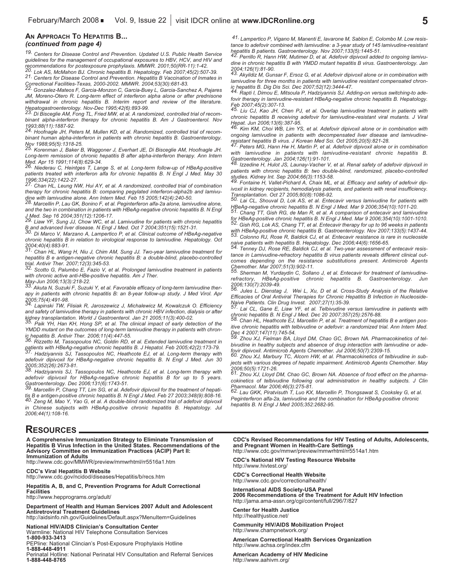#### **AN APPROACH TO HEPATITIS B...** *(continued from page 4)*

*19. Centers for Disease Control and Prevention. Updated U.S. Public Health Service guidelines for the management of occupational exposures to HBV, HCV, and HIV and*

recommendations for postexposure prophylaxis. MMWR. 2001;50(RR-11):1-42.<br>20. Lok AS, McMahon BJ. Chronic hepatitis B. Hepatology. Feb 2007;45(2):507-39.<br>21. Centers for Disease Control and Prevention. Hepatitis B Vaccinati Correctional Facilities-Texas, 2000-2002. MMWR. 2004;53(30):681-83.<br><sup>22.</sup> Gonzalez-Mateos F, Garcia-Monzon C, Garcia-Buey L, Garcia-Sanchez A, Pajares

*JM, Moreno-Otero R. Long-term effect of interferon alpha alone or after prednisone withdrawal in chronic hepatitis B. Interim report and review of the literature.*

Munutanual members of the Capital Control of the Hepatogastroenterology. Nov-Dec 1995;42(6):893-99.<br>23. Di Bisceglie AM, Fong TL, Fried MW, et al. A randomized, controlled trial of recom*binant alpha-interferon therapy for chronic hepatitis B. Am J Gastroenterol. Nov 1993;88(11):1887-92. 24. Hoofnagle JH, Peters M, Mullen KD, et al. Randomized, controlled trial of recom-*

*binant human alpha-interferon in patients with chronic hepatitis B. Gastroenterology.*

*Nov 1988;95(5):1318-25. 25. Korenman J, Baker B, Waggoner J, Everhart JE, Di Bisceglie AM, Hoofnagle JH. Long-term remission of chronic hepatitis B after alpha-interferon therapy. Ann Intern* Med. Apr 15 1991;114(8):629-34.<br>26. Niederau C, Heintges T, Lange S, et al. Long-term follow-up of HBeAg-positive

*patients treated with interferon alfa for chronic hepatitis B. N Engl J Med. May 30 1996;334(22):1422-27. 27. Chan HL, Leung NW, Hui AY, et al. <sup>A</sup> randomized, controlled trial of combination*

*therapy for chronic hepatitis B: comparing pegylated interferon-alpha2b and lamivu-*

28. Marcellin P, Lau GK, Bonino F, et al. Peginterferon alfa-2a alone, lamivudine alone, *and the two in combination in patients with HBeAg-negative chronic hepatitis B. N Engl* J.Med. Sep 16 2004;351(12):1206-17.<br>J.Med. Sep 16 2004;351(12):1206-17.<br><sup>29.</sup> Liaw YF, Sung JJ, Chow WC, et al. Lamivudine for patients with chronic hepatitis

B and advanced liver disease. N Engl J Med. Oct 7 2004;351(15):1521-31.<br><sup>30.</sup> Di Marco V, Marzano A, Lampertico P, et al. Clinical outcome of HBeAg-negative *chronic hepatitis B in relation to virological response to lamivudine. Hepatology. Oct*

*2004;40(4):883-91. 31. Chan HL, Wang H, Niu J, Chim AM, Sung JJ. Two-year lamivudine treatment for hepatitis B e antigen-negative chronic hepatitis B: a double-blind, placebo-controlled*

Scotto G, Palumbo E, Fazio V, et al. Prolonged lamivudine treatment in patients *with chronic active anti-HBe-positive hepatitis. Am J Ther.*

33. Akuta N, Suzuki F, Suzuki Y, et al. Favorable efficacy of long-term lamivudine ther*apy in patients with chronic hepatitis B: an 8-year follow-up study. J Med Virol. Apr*

*2005;75(4):491-98. 34. Lapinski TW, Flisiak R, Jaroszewicz J, Michalewicz M, Kowalczuk O. Efficiency and safety of lamivudine therapy in patients with chronic HBV infection, dialysis or after*

kidney transplantation. World J Gastroenterol. Jan 21 2005;11(3):400-02.<br><sup>35.</sup> Paik YH, Han KH, Hong SP, et al. The clinical impact of early detection of the *YMDD mutant on the outcomes of long-term lamivudine therapy in patients with chron-*

ic hepatitis B. Antivir Ther. 2006;11(4):447-55.<br>36. Rizzetto M, Tassopoulos NC, Goldin RD, et al. Extended lamivudine treatment in patients with HBeAg-negative chronic hepatitis B. J Hepatol. Feb 2005;42(2):173-79.<br>37. Hadziyannis SJ, Tassopoulos NC, Heathcote EJ, et al. Long-term therapy with

*adefovir dipivoxil for HBeAg-negative chronic hepatitis B. N Engl J Med. Jun 30 2005;352(26):2673-81. 38. Hadziyannis SJ, Tassopoulos NC, Heathcote EJ, et al. Long-term therapy with*

*adefovir dipivoxil for HBeAg-negative chronic hepatitis B for up to 5 years.*

Gastroenterology. Dec 2006;131(6):1743-51.<br><sup>39.</sup> Marcellin P, Chang TT, Lim SG, et al. Adefovir dipivoxil for the treatment of hepati-<br>tis B e antigen-positive chronic hepatitis B. N Engl J Med. Feb 27 2003;348(9):808-16. 40. Zeng M, Mao Y, Yao G, et al. A double-blind randomized trial of adefovir dipivoxil *in Chinese subjects with HBeAg-positive chronic hepatitis B. Hepatology. Jul 2006;44(1):108-16.*

### **RESOURCES**

**A Comprehensive Immunization Strategy to Eliminate Transmission of** Advisory Committee on Immunization Practices (ACIP) Part II:<br>Immunization of Adults<br>http://www.cdc.gov/MMWR/preview/mmwrhtml/rr5516a1.htm

**CDC's Viral Hepatitis <sup>B</sup> Website** http://www.cdc.gov/ncidod/diseases/Hepatitis/b/recs.htm

**Hepatitis A, B, and C, Prevention Programs for Adult Correctional**

**Facilities** http://www.hepprograms.org/adult/

**Department of Health and Human Services 2007 Adult and Adolescent Antiretroviral Treatment Guidelines** http://aidsinfo.nih.gov/Guidelines/Default.aspx?MenuItem=Guidelines

**National HIV/AIDS Clinician's Consultation Center** Warmline: National HIV Telephone Consultation Services

**1-800-933-3413**

PEPline: National Clincian's Post-Exposure Prophylaxis Hotline **1-888-448-4911**

Perinatal Hotline: National Perinatal HIV Consultation and Referral Services **1-888-448-8765**

*41. Lampertico P, Vigano M, Manenti E, Iavarone M, Sablon E, Colombo M. Low resistance to adefovir combined with lamivudine: a 3-year study of 145 lamivudine-resistant* Anio et administration and numerical control of the patients. Gastroenterology. Nov 2007;133(5):1445-51.<br>42. Perrillo R, Hann HW, Mutimer D, et al. Adefovir dipivoxil added to ongoing lamivu-

*dine in chronic hepatitis B with YMDD mutant hepatitis B virus. Gastroenterology. Jan*

Akyildiz M, Gunsar F, Ersoz G, et al. Adefovir dipivoxil alone or in combination with *lamivudine* for three months in patients with *lamivudine* resistant compensated chron-<br>ic hepatitis B. Dig Dis Sci. Dec 2007;52(12):3444-47.

44. Rapti I, Dimou E, Mitsoula P, Hadziyannis SJ. Adding-on versus switching-to ade*fovir therapy in lamivudine-resistant HBeAg-negative chronic hepatitis B. Hepatology. Feb 2007;45(2):307-13. 45. Liu CJ, Kao JH, Chen PJ, et al. Overlap lamivudine treatment in patients with*

*chronic hepatitis B receiving adefovir for lamivudine-resistant viral mutants. J Viral* Hepat. Jun 2006;13(6):387-95.<br><sup>46.</sup> Kim KM, Choi WB, Lim YS, et al. Adefovir dipivoxil alone or in combination with

*ongoing lamivudine in patients with decompensated liver disease and lamivudine-*

47. Peters MG, Hann Hw H, Martin P, et al. Adefovir dipivoxil alone or in combination *with lamivudine in patients with lamivudine-resistant chronic hepatitis B.* Gastroenterology. Jan 2004;126(1):91-101.<br>
48. Izzedine H, Hulot JS, Launay-Vacher V, et al. Renal safety of adefovir dipivoxil in

*patients with chronic hepatitis B: two double-blind, randomized, placebo-controlled* studies. Kidney Int. Sep 2004;66(3):1153-58.<br><sup>49.</sup> Fontaine H, Vallet-Pichard A, Chaix ML, et al. Efficacy and safety of adefovir dip-

*ivoxil in kidney recipients, hemodialysis patients, and patients with renal insufficiency.*

Transplantation. Oct 27 2005;80(8):1086-92.<br>
50. Lai CL, Shouval D, Lok AS, et al. Entecavir versus lamivudine for patients with<br>
HBeAg-negative chronic hepatitis B. N Engl J Med. Mar 9 2006;354(10):1011-20.

HBeAg-negative chronic nepatitis p. iv Erigi J wed. wat a Love to the two theory and the S1.<br>51. Chang TT, Gish RG, de Man R, et al. A comparison of entecavit and lamivudine For HBeAg-positive chronic hepatitis B. N Engl J Med. Mar 9 2006;354(10):1001-1010.<br>
52. Gish RG, Lok AS, Chang TT, et al. Entecavir therapy for up to 96 weeks in patients

with HBeAg-positive chronic hepatitis B. Gastroenterology. Nov 2007;133(5):1437-44.<br>53. Colonno RJ, Rose R, Baldick CJ, et al. Entecavir resistance is rare in nucleoside naive patients with hepatitis B. Hepatology. Dec 2006;44(6):1656-65.<br><sup>54.</sup> Tenney DJ, Rose RE, Baldick CJ, et al. Two-year assessment of entecavir resis-

*tance in Lamivudine-refractory hepatitis B virus patients reveals different clinical outcomes depending on the resistance substitutions present. Antimicrob Agents*

Chemother. Mar 2007;51(3):902-11.<br>55. Sherman M, Yurdaydin C, Sollano J, et al. Entecavir for treatment of lamivudine-<br>refractory. HBeAg-positive chronic hepatitis B. Gastroenterology. Jun *HBeAg-positive chronic hepatitis B. Gastroenterology.* 

*2006;130(7):2039-49. 56. Jules L. Dienstag J, Wei L, Xu, <sup>D</sup> et al. Cross-Study Analysis of the Relative Efficacies of Oral Antiviral Therapies for Chronic Hepatitis B Infection in Nucleoside-*Naive Patients. Clin Drug Invest. 2007;27(1):35-39.<br><sup>57.</sup> Lai CL, Gane E, Liaw YF, et al. Telbivudine versus lamivudine in patients with

chronic hepatitis B. N Engl J Med. Dec 20 2007;357(25):2576-88.<br>
58. Chan HL, Heathcote EJ, Marcellin P, et al. Treatment of hepatitis B e antigen pos-

*itive chronic hepatitis with telbivudine or adefovir: a randomized trial. Ann Intern Med.*

Dec 4 2007;147(11):745-54.<br><sup>59.</sup> Zhou XJ, Fielman BA, Lloyd DM, Chao GC, Brown NA. Pharmacokinetics of tel*bivudine in healthy subjects and absence of drug interaction with lamivudine or ade-*

fovir dipivoxil. Antimicrob Agents Chemother. Jul 2006;50(7):2309-15.<br><sup>60.</sup> Zhou XJ, Marbury TC, Alcorn HW, et al. Pharmacokinetics of telbivudine in sub*jects with various degrees of hepatic impairment. Antimicrob Agents Chemother. May 2006;50(5):1721-26. 61. Zhou XJ, Lloyd DM, Chao GC, Brown NA. Absence of food effect on the pharma-*

*cokinetics of telbivudine following oral administration in healthy subjects. J Clin* Dharmacol. Mar 2006;46(3):275-81.<br>Pharmacol. Mar 2006;46(3):275-81.<br><sup>62.</sup> Lau GKK, Piratvisuth T, Luo KX, Marcellin P, Thongsawat S, Cooksley G, et al.

*Peginterferon alfa-2a, lamivudine and the combination for HBeAg-positive chronic hepatitis B. N Engl J Med 2005;352:2682-95.*

CDC's Revised Recommendations for HIV Testing of Adults, Adolescents, and Pregnant Women in Health-Care Settings<br>http://www.cdc.gov/mmwr/preview/mmwrhtml/rr5514a1.htm

**CDC's National HIV Testing Resource Website**

http://www.hivtest.org/

**CDC's Correctional Health Website** http://www.cdc.gov/correctionalhealth/

**International AIDS Society-USA Panel 2006 Recommendations of the Treatment for Adult HIV Infection** http://jama.ama-assn.org/cgi/content/full/296/7/827

**Center for Health Justice** http://healthjustice.net/

**Community HIV/AIDS Mobilization Project** http://www.champnetwork.org/

**American Correctional Health Services Organization** http://www.achsa.org/index.cfm

**American Academy of HIV Medicine** http://www.aahivm.org/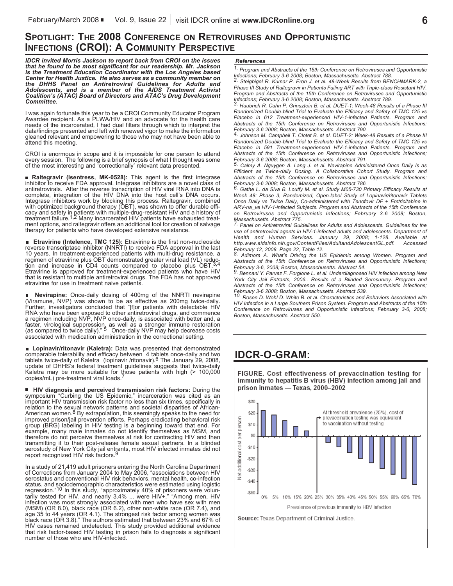### **SPOTLIGHT: THE 2008 CONFERENCE ON RETROVIRUSES AND OPPORTUNISTIC INFECTIONS (CROI): A COMMUNITY PERSPECTIVE**

**IDCR invited Morris Jackson to report back from CROI on the issues**<br>that he found to be most significant for our readership. Mr. Jackson<br>is the Treatment Education Coordinator with the Los Angeles based<br>Center for Health Center for Health Justice. He also serves as a community member on<br>the DHHS Panel on Antiretroviral Guidelines for Adults and<br>Adolescents, and is a member of the AIDS Treatment Activist<br>Coalition's (ATAC) *Committee.*

I was again fortunate this year to be a CROI Community Educator Program<br>Awardee recipient. As a PLWA/HIV and an advocate for the health care<br>needs of the incarcerated, I had dual filters through which to interpret the<br>data

CROI is enormous in scope and it is impossible for one person to attend every session. The following is <sup>a</sup> brief synopsis of what <sup>I</sup> thought was some of the most interesting and 'correctionally' relevant data presented.

■ Raltegravir (Isentress, MK-0528): This agent is the first integrase inhibitor to receive FDA approval. Integrase inhibitors are a novel class of antiretrovirals. After the reverse transcription of HIV viral RNA into DNA treatment failure.<sup>1,2</sup> Many incarcerated HIV patients have exhausted treat-<br>ment options, and raltegravir offers an additional tool for creation of salvage<br>therapy for patients who have developed extensive resistance.

**Etravirine (Intelence, TMC 125):** Etravirine is the first non-nucleoside reverse transcriptase inhibitor (NNRTI) to receive FDA approval in the last 10 years. In treatment-experienced patients with multi-drug resistance, a regimen of etravirine plus OBT demonstrated greater viral load (VL) reduction and increase in CD4 counts compared to placebo plus OBT.<sup>3,4</sup> Etravirine is approved for treatment-experienced patients who have HIV that is resistant to multiple antiretroviral drugs. The FDA has not approved etravirine for use in treatment naive patients.

**Nevirapine:** Once-daily dosing of 400mg of the NNRTI nevirapine (Viramune, NVP) was shown to be as effective as 200mg twice-daily. Further, investigators concluded that "[f]or patients with detectable HIV RNA who have been exposed to other antiretroviral drugs, and commence a regimen including NVP, NVP once-daily, is associated with better and, a faster, virological suppression, as well as a stronger immune restoration (as compared to twice daily)." 5 Once-daily NVP may help decrease costs associated with medication administration in the correctional setting.

**Lopinavir/ritonavir (Kaletra):** Data was presented that demonstrated comparable tolerability and efficacy between 4 tablets once-daily and two tablets twice-daily of Kaletra (lopinavir /ritonavir). 6 The January 29, 2008, update of DHHS's federal treatment guidelines suggests that twice-daily Kaletra may be more suitable for those patients with high (> 100,000 copies/mL) pre-treatment viral loads. 7

**HIV diagnosis and perceived transmission risk factors:** During the symposium "Curbing the US Epidemic," incarceration was cited as an important HIV transmission risk factor no less than six times, specifically in relation to the sexual network patterns and societal disparities of African-American women.<sup>8</sup> By extrapolation, this seemingly speaks to the need for improved prison/jail prevention efforts. Perhaps eradicating behavioral risk group (BRG) labeling in HIV testing is a beginning toward that end. For example, many male inmates do not identify themselves as MSM, and therefore do not perceive themselves at risk for contracting HIV and then transmitting it to their post-release female sexual partners. In a blinded serostudy of New York City jail entrants, most HIV infected inmates did not report recognized HIV risk factors. 9

In a study of 21,419 adult prisoners entering the North Carolina Department of Corrections from January 2004 to May 2006, "associations between HIV serostatus and conventional HIV risk behaviors, mental health, co-infection status, and sociodemographic characteristics were estimated using logistic<br>regression."<sup>10</sup> In this study, "approximately 40% of prisoners were volun-<br>tarily tested for HIV, and nearly 3.4% ... were HIV+." "Among men, HIV infection was most strongly associated with men who have sex with men (MSM) (OR 8.0), black race (OR 6.2), other non-white race (OR 7.4), and age 35 to 44 years (OR 4.1). The strongest risk factor among women was black race (OR 3.8)." The authors estimated that between 23% and 67% of HIV cases remained undetected. This study provided additional evidence that risk factor-based HIV testing in prison fails to diagnosis a significant number of those who are HIV-infected.

#### *References*

*1. Program and Abstracts of the 15th Conference on Retroviruses and Opportunistic*

Steigbigel R. Kumar P. Eron J. et al. 48-Week Results from BENCHMARK-2, a *Phase III Study of Raltegravir in Patients Failing ART with Triple-class Resistant HIV. Program and Abstracts of the 15th Conference on Retroviruses and Opportunistic*

3. Haubrich R. Cahn P. Grinsztein B. et al. DUET-1: Week-48 Results of a Phase III *Randomized Double-blind Trial to Evaluate the Efficacy and Safety of TMC 125 vs Placebo in 612 Treatment-experienced HIV-1-infected Patients. Program and Abstracts of the 15th Conference on Retroviruses and Opportunistic Infections;*

4. Johnson M. Campbell T. Clotet B. et al. DUET-2: Week-48 Results of a Phase III *Randomized Double-blind Trial to Evaluate the Efficacy and Safety of TMC 125 vs Placebo in 591 Treatment-experienced HIV-1-infected Patients. Program and Abstracts of the 15th Conference on Retroviruses and Opportunistic Infections;* February 3-6 2008; Boston, Massachusetts. Abstract 791.<br>5. Calmy A. Nguygen A. Lang J. et al. Nevirapine Administered Once Daily Is as

*Efficient as Twice-daily Dosing. A Collaborative Cohort Study. Program and Abstracts of the 15th Conference on Retroviruses and Opportunistic Infections;* February 3-6 2008; Boston, Massachusetts. Abstract 786.<br>6 Gebruary 3-6 2008; Boston, Massachusetts. Abstract 786.<br><sup>6.</sup> Gathe L. da Siva B. Loutfy M. et al. Study M05-730 Primary Efficacy Results at

*Week 48: Phase 3, Randomized, Open-label Study of Lopinavir/ritonavir Tablets Once Daily vs Twice Daily, Co-administered with Tenofovir DF + Emtricitabine in ARV-na\_ve HIV-1-infected Subjects. Program and Abstracts of the 15th Conference on Retroviruses and Opportunistic Infections; February 3-6 2008; Boston,*

*Massachusetts. Abstract 775. 7. Panel on Antiretroviral Guidelines for Adults and Adolescents. Guidelines for the use of antiretroviral agents in HIV-1-infected adults and adolescents. Department of Health and Human Services. January 29, 2008; 1-128. Available at http.www.aidsinfo.nih.gov/ContentFiles/AdultandAdolescentGL.pdf. Accessed*

Adimora A. What's Driving the US Epidemic among Women. Program and *Abstracts of the 15th Conference on Retroviruses and Opportunistic Infections;* February 3-6, 2008; Boston, Massachusetts. Abstract 54.<br>Pebruary 3-6, 2008; Boston, Massachusetts. Abstract 54.<br>9. Bennani Y. Parvez F. Forgione L. et al. Underdiagnosed HIV Infection among New

*York City Jail Entrants, 2006.. Results of a Blinded Serosurvey. Program and Abstracts of the 15th Conference on Retroviruses and Opportunistic Infections;* February 3-6 2008; Boston, Massachusetts. Abstract 539.<br>Tebruary 3-6 2008; Boston, Massachusetts. Abstract 539.<br><sup>10.</sup> Rosen D. Wohl D. White B. et al. Characteristics and Behaviors Associated with

*HIV Infection in a Large Southern Prison System. Program and Abstracts of the 15th Conference on Retroviruses and Opportunistic Infections; February 3-6, 2008; Boston, Massachusetts. Abstract 550.*

## **IDCR-O-GRAM:**

FIGURE. Cost effectiveness of prevaccination testing for immunity to hepatitis B virus (HBV) infection among jail and prison inmates - Texas, 2000-2002



Source: Texas Department of Criminal Justice.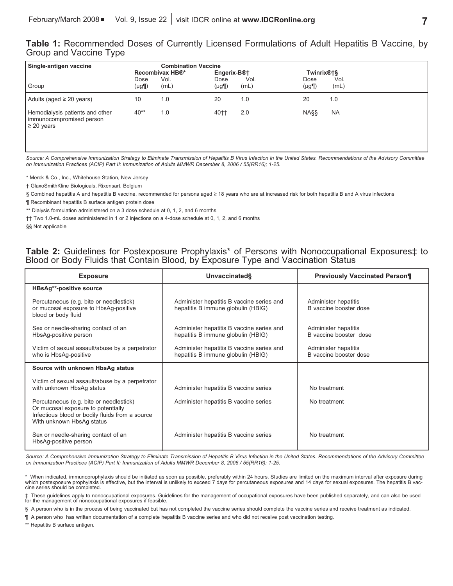### **Table 1:** Recommended Doses of Currently Licensed Formulations of Adult Hepatitis B Vaccine, by Group and Vaccine Type

| Single-antigen vaccine                                                         |                    | <b>Combination Vaccine</b><br>Recombivax HB®*<br>Engerix-B <sup>®†</sup> |                    |              | Twinrix®†§         |              |
|--------------------------------------------------------------------------------|--------------------|--------------------------------------------------------------------------|--------------------|--------------|--------------------|--------------|
| Group                                                                          | Dose<br>$(\mu$ g¶) | Vol.<br>(mL)                                                             | Dose<br>$(\mu$ g¶) | Vol.<br>(mL) | Dose<br>$(\mu$ g¶) | Vol.<br>(mL) |
| Adults (aged $\geq$ 20 years)                                                  | 10                 | 1.0                                                                      | 20                 | 1.0          | 20                 | 1.0          |
| Hemodialysis patients and other<br>immunocompromised person<br>$\geq$ 20 years | $40**$             | 1.0                                                                      | 40++               | 2.0          | <b>NASS</b>        | <b>NA</b>    |

Source: A Comprehensive Immunization Strategy to Eliminate Transmission of Hepatitis B Virus Infection in the United States. Recommendations of the Advisory Committee *on Immunization Practices (ACIP) Part II: Immunization of Adults MMWR December 8, 2006 / 55(RR16); 1-25.*

\* Merck & Co., Inc., Whitehouse Station, New Jersey

† GlaxoSmithKline Biologicals, Rixensart, Belgium

§ Combined hepatitis A and hepatitis B vaccine, recommended for persons aged ≥ 18 years who are at increased risk for both hepatitis B and A virus infections

¶ Recombinant hepatitis B surface antigen protein dose

\*\* Dialysis formulation administered on a 3 dose schedule at 0, 1, 2, and 6 months

†† Two 1.0-mL doses administered in 1 or 2 injections on a 4-dose schedule at 0, 1, 2, and 6 months §§ Not applicable

### **Table 2:** Guidelines for Postexposure Prophylaxis\* of Persons with Nonoccupational Exposures‡ to Blood or Body Fluids that Contain Blood, by Exposure Type and Vaccination Status

| <b>Exposure</b>                                                                                                                                               | Unvaccinated                                                                    | <b>Previously Vaccinated Person¶</b>           |  |  |
|---------------------------------------------------------------------------------------------------------------------------------------------------------------|---------------------------------------------------------------------------------|------------------------------------------------|--|--|
| HBsAg**-positive source                                                                                                                                       |                                                                                 |                                                |  |  |
| Percutaneous (e.g. bite or needlestick)<br>or mucosal exposure to HbsAg-positive<br>blood or body fluid                                                       | Administer hepatitis B vaccine series and<br>hepatitis B immune globulin (HBIG) | Administer hepatitis<br>B vaccine booster dose |  |  |
| Sex or needle-sharing contact of an<br>HbsAg-positive person                                                                                                  | Administer hepatitis B vaccine series and<br>hepatitis B immune globulin (HBIG) | Administer hepatitis<br>B vaccine booster dose |  |  |
| Victim of sexual assault/abuse by a perpetrator<br>who is HbsAg-positive                                                                                      | Administer hepatitis B vaccine series and<br>hepatitis B immune globulin (HBIG) | Administer hepatitis<br>B vaccine booster dose |  |  |
| Source with unknown HbsAg status                                                                                                                              |                                                                                 |                                                |  |  |
| Victim of sexual assault/abuse by a perpetrator<br>with unknown HbsAq status                                                                                  | Administer hepatitis B vaccine series                                           | No treatment                                   |  |  |
| Percutaneous (e.g. bite or needlestick)<br>Or mucosal exposure to potentially<br>Infectious blood or bodily fluids from a source<br>With unknown HbsAg status | Administer hepatitis B vaccine series                                           | No treatment                                   |  |  |
| Sex or needle-sharing contact of an<br>HbsAg-positive person                                                                                                  | Administer hepatitis B vaccine series                                           | No treatment                                   |  |  |

Source: A Comprehensive Immunization Strategy to Eliminate Transmission of Hepatitis B Virus Infection in the United States. Recommendations of the Advisory Committee *on Immunization Practices (ACIP) Part II: Immunization of Adults MMWR December 8, 2006 / 55(RR16); 1-25.*

\* When indicated, immunoprophylaxis should be initiated as soon as possible, preferably within 24 hours. Studies are limited on the maximum interval after exposure during<br>which postexposure prophylaxis is effective, but th cine series should be completed.

‡ These guidelines apply to nonoccupational exposures. Guidelines for the management of occupational exposures have been published separately, and can also be used for the management of nonoccupational exposures if feasible.

§ A person who is in the process of being vaccinated but has not completed the vaccine series should complete the vaccine series and receive treatment as indicated.

¶ A person who has written documentation of a complete hepatitis B vaccine series and who did not receive post vaccination testing.

\*\* Hepatitis B surface antigen.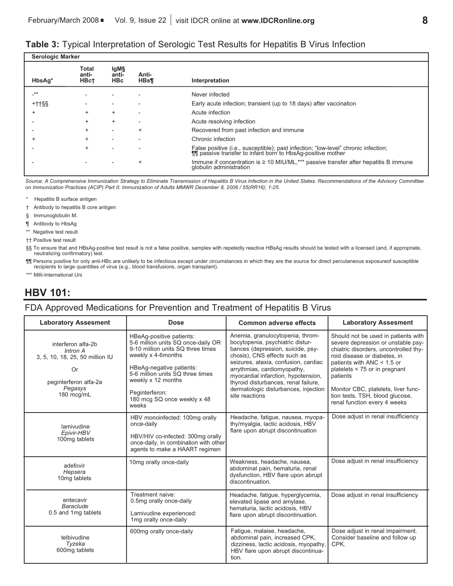### **Table 3:** Typical Interpretation of Serologic Test Results for Hepatitis B Virus Infection

| <b>Serologic Marker</b> |                               |                             |                          |                                                                                                                                                    |  |  |  |  |
|-------------------------|-------------------------------|-----------------------------|--------------------------|----------------------------------------------------------------------------------------------------------------------------------------------------|--|--|--|--|
| HbsAq*                  | Total<br>anti-<br><b>HBct</b> | lgM§<br>anti-<br><b>HBc</b> | Anti-<br><b>HBs¶</b>     | Interpretation                                                                                                                                     |  |  |  |  |
| -**                     |                               |                             |                          | Never infected                                                                                                                                     |  |  |  |  |
| $++$ tss                | $\overline{\phantom{a}}$      | $\overline{\phantom{0}}$    |                          | Early acute infection; transient (up to 18 days) after vaccination                                                                                 |  |  |  |  |
| <sup>+</sup>            | $\ddot{}$                     | $\ddot{}$                   | $\overline{\phantom{a}}$ | Acute infection                                                                                                                                    |  |  |  |  |
|                         | $\ddot{}$                     | $\ddot{}$                   | $\overline{\phantom{a}}$ | Acute resolving infection                                                                                                                          |  |  |  |  |
|                         | $\ddot{}$                     | $\overline{\phantom{a}}$    | $\ddot{}$                | Recovered from past infection and immune                                                                                                           |  |  |  |  |
| +                       | $\ddot{}$                     | $\overline{\phantom{a}}$    |                          | Chronic infection                                                                                                                                  |  |  |  |  |
|                         | $\ddot{}$                     | $\overline{\phantom{a}}$    |                          | False positive (i.e., susceptible); past infection; "low-level" chronic infection;<br>The passive transfer to infant born to HbsAg-positive mother |  |  |  |  |
|                         |                               |                             | $\ddot{}$                | Immune if concentration is $\geq 10$ MIU/ML,*** passive transfer after hepatitis B immune<br>globulin administration                               |  |  |  |  |
|                         |                               |                             |                          |                                                                                                                                                    |  |  |  |  |

Source: A Comprehensive Immunization Strategy to Eliminate Transmission of Hepatitis B Virus Infection in the United States. Recommendations of the Advisory Committee *on Immunization Practices (ACIP) Part II: Immunization of Adults MMWR December 8, 2006 / 55(RR16); 1-25.*

- \* Hepatitis B surface antigen
- † Antibody to hepatitis B core antigen
- § Immunoglobulin M.
- ¶ Antibody to HbsAg
- \*\* Negative test result
- †† Positive test result

§§ To ensure that and HBsAg-positive test result is not a false positive, samples with repetedly reactive HBsAg results should be tested with a licensed (and, if appropriate, neutralizing confirmatory) test.

¶¶ Persons positive for only anti-HBc are unlikely to be infectious except under circumstances in which they are the source for direct percutaneous exposureof susceptible recipients to large quantities of virus (e.g., blood transfusions, organ transplant).

\*\*\* Milli-International Uni

### **HBV 101:**

### FDA Approved Medications for Prevention and Treatment of Hepatitis B Virus

| <b>Laboratory Assesment</b><br><b>Dose</b>                                                                                |                                                                                                                                                                                                                                                                           | <b>Common adverse effects</b>                                                                                                                                                                                                                                                                                                                             | <b>Laboratory Assesment</b>                                                                                                                                                                                                                                                                                                               |  |
|---------------------------------------------------------------------------------------------------------------------------|---------------------------------------------------------------------------------------------------------------------------------------------------------------------------------------------------------------------------------------------------------------------------|-----------------------------------------------------------------------------------------------------------------------------------------------------------------------------------------------------------------------------------------------------------------------------------------------------------------------------------------------------------|-------------------------------------------------------------------------------------------------------------------------------------------------------------------------------------------------------------------------------------------------------------------------------------------------------------------------------------------|--|
| interferon alfa-2b<br>Intron A<br>3, 5, 10, 18, 25, 50 million IU<br>Or<br>peginterferon alfa-2a<br>Pegasys<br>180 mcg/mL | HBeAq-positive patients:<br>5-6 million units SQ once-daily OR<br>9-10 million units SQ three times<br>weekly x 4-6months<br>HBeAg-negative patients:<br>5-6 million units SQ three times<br>weekly x 12 months<br>Peginterferon:<br>180 mcg SQ once weekly x 48<br>weeks | Anemia, granulocytopenia, throm-<br>bocytopenia, psychiatric distur-<br>bances (depression, suicide, psy-<br>chosis), CNS effects such as<br>seizures, ataxia, confusion, cardiac<br>arrythmias, cardiomyopathy,<br>myocardial infarction, hypotension,<br>thyroid disturbances, renal failure,<br>dermatologic disturbances, injection<br>site reactions | Should not be used in patients with<br>severe depression or unstable psy-<br>chiatric disorders, uncontrolled thy-<br>roid disease or diabetes, in<br>patients with ANC $<$ 1.5 or<br>platelets < 75 or in pregnant<br>patients<br>Monitor CBC, platelets, liver func-<br>tion tests, TSH, blood glucose,<br>renal function every 4 weeks |  |
| lamivudine<br>Epivir-HBV<br>100mg tablets                                                                                 | HBV monoinfected: 100mg orally<br>once-daily<br>HBV/HIV co-infected: 300mg orally<br>once-daily, in combination with other<br>agents to make a HAART regimen                                                                                                              | Headache, fatigue, nausea, myopa-<br>thy/myalgia, lactic acidosis, HBV<br>flare upon abrupt discontinuation                                                                                                                                                                                                                                               | Dose adjust in renal insufficiency                                                                                                                                                                                                                                                                                                        |  |
| adefovir<br>Hepsera<br>10 <sub>mg</sub> tablets                                                                           | 10mg orally once-daily                                                                                                                                                                                                                                                    | Weakness, headache, nausea,<br>abdominal pain, hematuria, renal<br>dysfunction, HBV flare upon abrupt<br>discontinuation.                                                                                                                                                                                                                                 | Dose adjust in renal insufficiency                                                                                                                                                                                                                                                                                                        |  |
| entecavir<br>Baraclude<br>0.5 and 1mg tablets                                                                             | Treatment naive:<br>0.5mg orally once-daily<br>Lamivudine experienced:<br>1mg orally once-daily                                                                                                                                                                           | Headache, fatigue, hyperglycemia,<br>elevated lipase and amylase,<br>hematuria, lactic acidosis, HBV<br>flare upon abrupt discontinuation.                                                                                                                                                                                                                | Dose adjust in renal insufficiency                                                                                                                                                                                                                                                                                                        |  |
| telbivudine<br>Tyzeka<br>600mg tablets                                                                                    | 600mg orally once-daily                                                                                                                                                                                                                                                   | Fatigue, malaise, headache,<br>abdominal pain, increased CPK,<br>dizziness, lactic acidosis, myopathy,<br>HBV flare upon abrupt discontinua-<br>tion.                                                                                                                                                                                                     | Dose adjust in renal impairment.<br>Consider baseline and follow up<br>CPK.                                                                                                                                                                                                                                                               |  |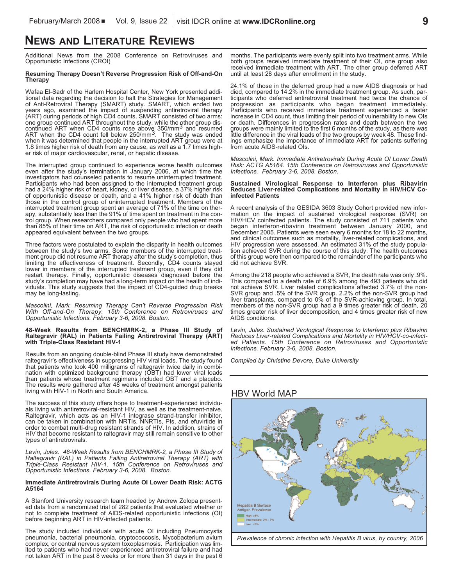## **NEWS AND LITERATURE REVIEWS**

Additional News from the 2008 Conference on Retroviruses and Opportunistic Infections (CROI)

#### **Resuming Therapy Doesn't Reverse Progression Risk of Off-and-On Therapy**

Wafaa El-Sadr of the Harlem Hospital Center, New York presented additional data regarding the decision to halt the Strategies for Management of Anti-Retroviral Therapy (SMART) study. SMART, which ended two years ago, exami (ART) during periods of high CD4 counts. SMART consisted of two arms:<br>one group continued ART throughout the study, while the other group dis-<br>continued ART when CD4 counts rose above 350/mm<sup>3</sup> and resumed ART when the CD4 count fell below 250/mm<sup>3</sup>. The study was ended when it was determined that people in the interrupted ART group were at 1.8 times higher risk of death from any cause, as well as a 1.7 times higher risk of major cardiovascular, renal, or hepatic disease.

The interrupted group continued to experience worse health outcomes even after the study's termination in January 2006, at which time the investigators had counseled patients to resume uninterrupted treatment. Participants who had been assigned to the interrupted treatment group had <sup>a</sup> 24% higher risk of heart, kidney, or liver disease, <sup>a</sup> 37% higher risk of opportunistic disease or death, and <sup>a</sup> 41% higher risk of death than those in the control group of uninterrupted treatment. Members of the interrupted treatment group spent an average of 71% of the time on therapy, substantially less than the 91% of time spent on treatment in the control group. When researchers compared only people who had spent more than 85% of their time on ART, the risk of opportunistic infection or death appeared equivalent between the two groups.

Three factors were postulated to explain the disparity in health outcomes between the study's two arms. Some members of the interrupted treatment group did not resume ART therapy after the study's completion, thus limiting the effectiveness of treatment. Secondly, CD4 counts stayed lower in members of the interrupted treatment group, even if they did restart therapy. Finally, opportunistic diseases diagnosed before the study's completion may have had a long-term impact on the health of individuals. This study suggests that the impact of CD4-guided drug breaks may be long-lasting.

*Mascolini, Mark. Resuming Therapy Can't Reverse Progression Risk With Off-and-On Therapy. 15th Conference on Retroviruses and Opportunistic Infections. February 3-6, 2008. Boston.*

#### **48-Week Results from BENCHMRK-2, a Phase III Study of Raltegravir (RAL) in Patients Failing Antiretroviral Therapy (ART) with Triple-Class Resistant HIV-1**

Results from an ongoing double-blind Phase III study have demonstrated raltegravir's effectiveness in suppressing HIV viral loads. The study found that patients who took 400 milligrams of raltegravir twice daily in combination with optimized background therapy (OBT) had lower viral loads than patients whose treatment regimens included OBT and a placebo. The results were gathered after 48 weeks of treatment amongst patients living with HIV-1 in North and South America.

The success of this study offers hope to treatment-experienced individuals living with antiretroviral-resistant HIV, as well as the treatment-naive.<br>Raltegravir, which acts as an HIV-1 integrase strand-transfer inhibitor, HIV that become resistant to raltegravir may still remain sensitive to other types of antiretrovirals.

*Levin, Jules. 48-Week Results from BENCHMRK-2, a Phase III Study of Raltegravir (RAL) in Patients Failing Antiretroviral Therapy (ART) with Triple-Class Resistant HIV-1. 15th Conference on Retroviruses and Opportunistic Infections. February 3-6, 2008. Boston.*

#### **Immediate Antiretrovirals During Acute OI Lower Death Risk: ACTG A5164**

A Stanford University research team headed by Andrew Zolopa presented data from a randomized trial of 282 patients that evaluated whether or not to complete treatment of AIDS-related opportunistic infections (OI) before beginning ART in HIV-infected patients.

The study included individuals with acute OI including Pneumocystis pneumonia, bacterial pneumonia, cryptococcosis, Mycobacterium avium complex, or central nervous system toxoplasmosis. Participation was limited to patients who had never experienced antiretroviral failure and had not taken ART in the past 8 weeks or for more than 31 days in the past 6

months. The participants were evenly split into two treatment arms. While both groups received immediate treatment of their OI, one group also received immediate treatment with ART. The other group deferred ART until at least 28 days after enrollment in the study.

24.1% of those in the deferred group had a new AIDS diagnosis or had died, compared to 14.2% in the immediate treatment group. As such, participants who deferred antiretroviral treatment had twice the chance of progression as participants who began treatment immediately. Participants who received immediate treatment experienced a faster increase in CD4 count, thus limiting their period of vulnerability to new Ols or death. Differences in progression rates and death between the two groups w little difference in the viral loads of the two groups by week 48. These findings emphasize the importance of immediate ART for patients suffering from acute AIDS-related OIs.

*Mascolini, Mark. Immediate Antiretrovirals During Acute OI Lower Death Risk: ACTG A5164. 15th Conference on Retroviruses and Opportunistic Infections. February 3-6, 2008. Boston.*

### **Sustained Virological Response to Interferon plus Ribavirin Reduces Liver-related Complications and Mortality in HIV/HCV Co- infected Patients**

A recent analysis of the GESIDA 3603 Study Cohort provided new information on the impact of sustained virological response (SVR) on HIV/HCV coinfected patients. The study consisted of 711 patients who began interferon-ribavirin treatment between January 2000, and December 2005. Patients were seen every 6 months for 18 to 22 months, and clinical outcomes such as mortality, liver-related complications, and HIV progression were assessed. An estimated 31% of the study population achieved SVR during the course of this study. The health outcomes of this group were then compared to the remainder of the participants who did not achieve SVR.

Among the 218 people who achieved a SVR, the death rate was only .9%. This compared to a death rate of 6.9% among the 493 patients who did not achieve SVR. Liver related complications affected 3.7% of the non-SVR group and .5% of the SVR group. 2.2% of the non-SVR group had liver transplants, compared to 0% of the SVR-achieving group. In total, members of the non-SVR group had a 9 times greater risk of death, 20 times greater risk of liver decomposition, and 4 times greater risk of new AIDS conditions.

*Levin, Jules. Sustained Virological Response to Interferon plus Ribavirin Reduces Liver-related Complications and Mortality in HIV/HCV-co-infected Patients. 15th Conference on Retroviruses and Opportunistic Infections. February 3-6, 2008. Boston.*

*Compiled by Christine Devore, Duke University*

### HBV World MAP

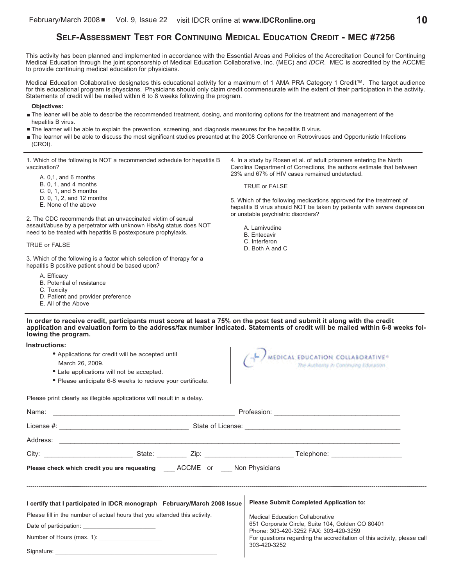### **SELF-ASSESSMENT TEST FOR CONTINUING MEDICAL EDUCATION CREDIT - MEC #7256**

This activity has been planned and implemented in accordance with the Essential Areas and Policies of the Accreditation Council for Continuing Medical Education through the joint sponsorship of Medical Education Collaborative, Inc. (MEC) and *IDCR*. MEC is accredited by the ACCME to provide continuing medical education for physicians.

Medical Education Collaborative designates this educational activity for a maximum of 1 AMA PRA Category 1 Credit™. The target audience for this educational program is physcians. Physicians should only claim credit commensurate with the extent of their participation in the activity. Statements of credit will be mailed within 6 to 8 weeks following the program.

#### **Objectives:**

- The leaner will be able to describe the recommended treatment, dosing, and monitoring options for the treatment and management of the hepatitis B virus.
- The learner will be able to explain the prevention, screening, and diagnosis measures for the hepatitis B virus.
- The learner will be able to discuss the most significant studies presented at the 2008 Conference on Retroviruses and Opportunistic Infections (CROI).

1. Which of the following is NOT a recommended schedule for hepatitis B vaccination?

- A. 0,1, and 6 months
- B. 0, 1, and 4 months
- C. 0, 1, and 5 months
- D. 0, 1, 2, and 12 months
- E. None of the above

2. The CDC recommends that an unvaccinated victim of sexual assault/abuse by a perpetrator with unknown HbsAg status does NOT need to be treated with hepatitis B postexposure prophylaxis.

#### TRUE or FALSE

3. Which of the following is a factor which selection of therapy for a hepatitis B positive patient should be based upon?

- A. Efficacy
- B. Potential of resistance
- C. Toxicity
- D. Patient and provider preference
- E. All of the Above

4. In a study by Rosen et al. of adult prisoners entering the North Carolina Department of Corrections, the authors estimate that between 23% and 67% of HIV cases remained undetected.

TRUE or FALSE

5. Which of the following medications approved for the treatment of hepatitis B virus should NOT be taken by patients with severe depression or unstable psychiatric disorders?

- A. Lamivudine
- B. Entecavir
- C. Interferon
- D. Both A and C

In order to receive credit, participants must score at least a 75% on the post test and submit it along with the credit application and evaluation form to the address/fax number indicated. Statements of credit will be mailed within 6-8 weeks fol**lowing the program.**

**Instructions:**

- **•** Applications for credit will be accepted until March 26, 2009.
- **•** Late applications will not be accepted.
- **•** Please anticipate 6-8 weeks to recieve your certificate.



Please print clearly as illegible applications will result in a delay.

| Please check which credit you are requesting _____ ACCME or Mon Physicians |  |  |  |                                                                                           |  |  |
|----------------------------------------------------------------------------|--|--|--|-------------------------------------------------------------------------------------------|--|--|
| l certify that I participated in IDCR monograph February/March 2008 Issue  |  |  |  | <b>Please Submit Completed Application to:</b>                                            |  |  |
| Please fill in the number of actual hours that you attended this activity. |  |  |  | <b>Medical Education Collaborative</b>                                                    |  |  |
|                                                                            |  |  |  | 651 Corporate Circle, Suite 104, Golden CO 80401<br>Phone: 303-420-3252 FAX: 303-420-3259 |  |  |
| Number of Hours (max. 1): _____________________                            |  |  |  | For questions regarding the accreditation of this activity, please call                   |  |  |
|                                                                            |  |  |  | 303-420-3252                                                                              |  |  |